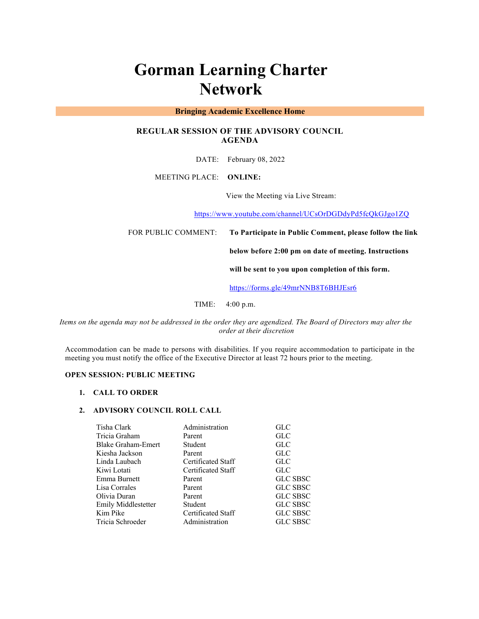# **Gorman Learning Charter Network**

## **Bringing Academic Excellence Home**

# **REGULAR SESSION OF THE ADVISORY COUNCIL AGENDA**

DATE: February 08, 2022

MEETING PLACE: **ONLINE:** 

View the Meeting via Live Stream:

https://www.youtube.com/channel/UCsOrDGDdyPd5fcQkGJgo1ZQ

FOR PUBLIC COMMENT: **To Participate in Public Comment, please follow the link** 

**below before 2:00 pm on date of meeting. Instructions** 

**will be sent to you upon completion of this form.**

https://forms.gle/49mrNNB8T6BHJEsr6

TIME: 4:00 p.m.

*Items on the agenda may not be addressed in the order they are agendized. The Board of Directors may alter the order at their discretion*

Accommodation can be made to persons with disabilities. If you require accommodation to participate in the meeting you must notify the office of the Executive Director at least 72 hours prior to the meeting.

# **OPEN SESSION: PUBLIC MEETING**

#### **1. CALL TO ORDER**

#### **2. ADVISORY COUNCIL ROLL CALL**

| Tisha Clark         | Administration     | GLC             |
|---------------------|--------------------|-----------------|
| Tricia Graham       | Parent             | GLC             |
| Blake Graham-Emert  | Student            | GLC             |
| Kiesha Jackson      | Parent             | GLC             |
| Linda Laubach       | Certificated Staff | GLC             |
| Kiwi Lotati         | Certificated Staff | GLC             |
| Emma Burnett        | Parent             | <b>GLC SBSC</b> |
| Lisa Corrales       | Parent             | <b>GLC SBSC</b> |
| Olivia Duran        | Parent             | <b>GLC SBSC</b> |
| Emily Middlestetter | Student            | <b>GLC SBSC</b> |
| Kim Pike            | Certificated Staff | <b>GLC SBSC</b> |
| Tricia Schroeder    | Administration     | <b>GLC SBSC</b> |
|                     |                    |                 |